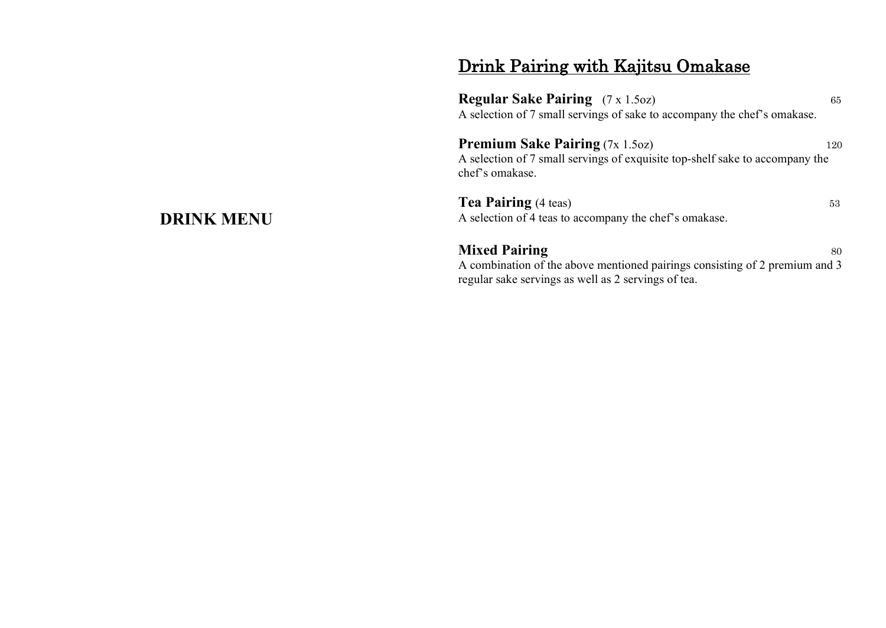# Drink Pairing with Kajitsu Omakase

| <b>Regular Sake Pairing</b> $(7 \times 1.5)$<br>A selection of 7 small servings of sake to accompany the chef's omakase. |  |
|--------------------------------------------------------------------------------------------------------------------------|--|
| <b>Premium Sake Pairing (7x 1.5oz)</b>                                                                                   |  |
| A selection of 7 small servings of exquisite top-shelf sake to accompany the<br>chef's omakase.                          |  |
| <b>Tea Pairing</b> (4 teas)                                                                                              |  |
| A selection of 4 teas to accompany the chef's omakase.                                                                   |  |

A combination of the above mentioned pairings consisting of 2 premium and 3 regular sake servings as well as 2 servings of tea.

## **DRINK MENU**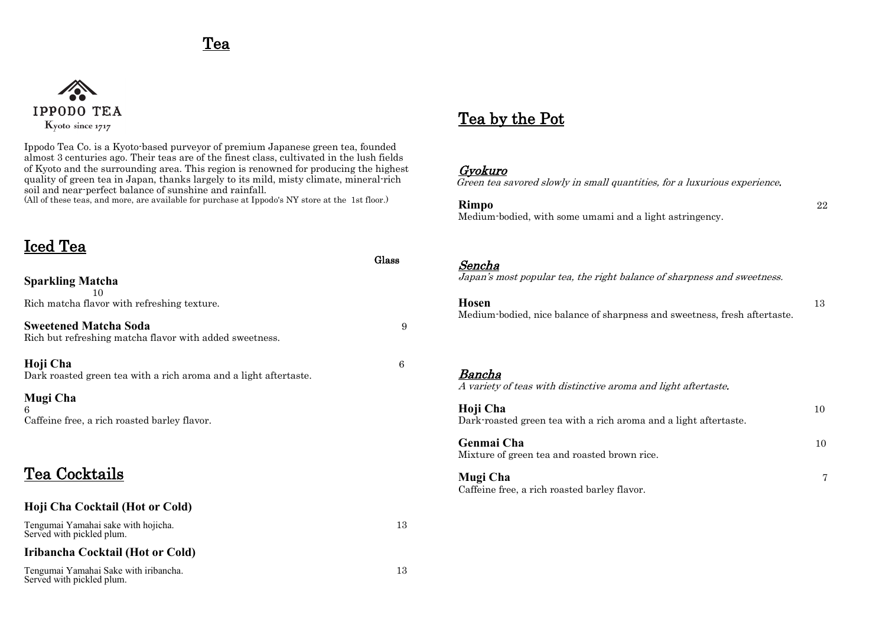

Served with pickled plum.

Ippodo Tea Co. is a Kyoto-based purveyor of premium Japanese green tea, founded almost 3 centuries ago. Their teas are of the finest class, cultivated in the lush fields of Kyoto and the surrounding area. This region is renowned for producing the highest quality of green tea in Japan, thanks largely to its mild, misty climate, mineral-rich soil and near-perfect balance of sunshine and rainfall.

(All of these teas, and more, are available for purchase at Ippodo's NY store at the 1st floor.)

| Iced Tea                                                                                | Glass |
|-----------------------------------------------------------------------------------------|-------|
| <b>Sparkling Matcha</b>                                                                 |       |
| 10<br>Rich matcha flavor with refreshing texture.                                       |       |
| <b>Sweetened Matcha Soda</b><br>Rich but refreshing matcha flavor with added sweetness. | 9     |
| Hoji Cha<br>Dark roasted green tea with a rich aroma and a light aftertaste.            | 6     |
| Mugi Cha<br>6<br>Caffeine free, a rich roasted barley flavor.                           |       |
| Tea Cocktails                                                                           |       |
| Hoji Cha Cocktail (Hot or Cold)                                                         |       |
| Tengumai Yamahai sake with hojicha.<br>Served with pickled plum.                        | 13    |
| Iribancha Cocktail (Hot or Cold)                                                        |       |
| Tengumai Yamahai Sake with iribancha.                                                   | 13    |

# Tea by the Pot

#### Gyokuro

Green tea savored slowly in small quantities, for a luxurious experience.

| Rimpo                                                   | 22 |
|---------------------------------------------------------|----|
| Medium-bodied, with some umami and a light astringency. |    |

Sencha

Japan's most popular tea, the right balance of sharpness and sweetness.

**Hosen** 13 Medium-bodied, nice balance of sharpness and sweetness, fresh aftertaste.

#### Bancha

A variety of teas with distinctive aroma and light aftertaste.

| Hoji Cha<br>Dark-roasted green tea with a rich aroma and a light aftertaste. | 10 |
|------------------------------------------------------------------------------|----|
| <b>Genmai Cha</b><br>Mixture of green tea and roasted brown rice.            |    |
| Mugi Cha                                                                     |    |

Caffeine free, a rich roasted barley flavor.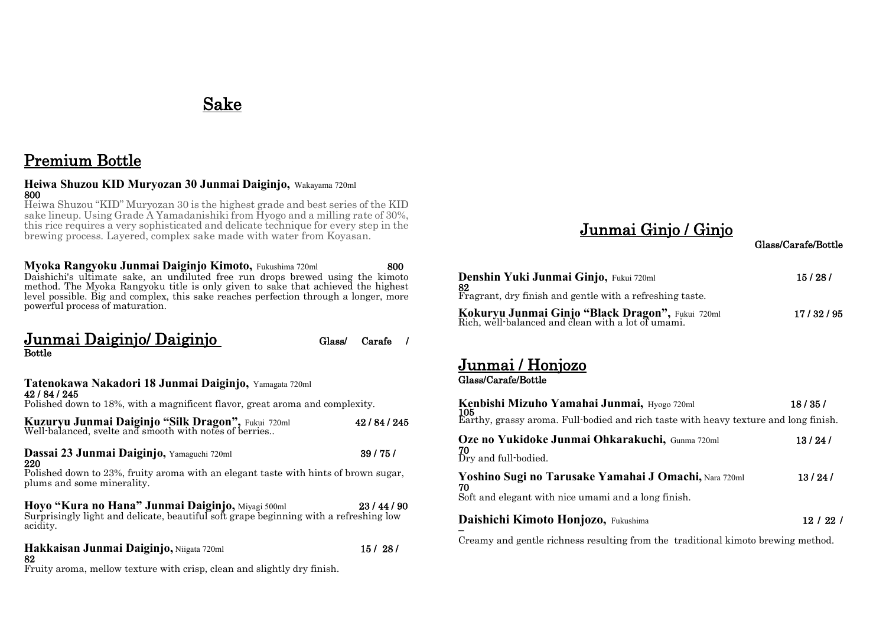## Sake

### Premium Bottle

#### **Heiwa Shuzou KID Muryozan 30 Junmai Daiginjo,** Wakayama 720ml 800

Heiwa Shuzou "KID" Muryozan 30 is the highest grade and best series of the KID sake lineup. Using Grade A Yamadanishiki from Hyogo and a milling rate of 30%, this rice requires a very sophisticated and delicate technique for every step in the brewing process. Layered, complex sake made with water from Koyasan.

#### **Myoka Rangyoku Junmai Daiginjo Kimoto,** Fukushima 720ml 800

Daishichi's ultimate sake, an undiluted free run drops brewed using the kimoto method. The Myoka Rangyoku title is only given to sake that achieved the highest level possible. Big and complex, this sake reaches perfection through a longer, more powerful process of maturation.

#### Junmai Daiginjo/ Daiginjo Glass/ Carafe / **Bottle**

#### **Tatenokawa Nakadori 18 Junmai Daiginjo,** Yamagata 720ml 42 / 84 / 245

Polished down to 18%, with a magnificent flavor, great aroma and complexity.

| Kuzuryu Junmai Daiginjo "Silk Dragon", Fukui 720ml<br>Well-balanced, svelte and smooth with notes of berries                                                             | 42 / 84 / 245 |
|--------------------------------------------------------------------------------------------------------------------------------------------------------------------------|---------------|
| Dassai 23 Junmai Daiginjo, Yamaguchi 720ml<br>220<br>Polished down to 23%, fruity aroma with an elegant taste with hints of brown sugar,                                 | 39/75/        |
| plums and some minerality.<br>Hoyo "Kura no Hana" Junmai Daiginjo, Miyagi 500ml<br>Surprisingly light and delicate, beautiful soft grape beginning with a refreshing low | 23/44/90      |
| acidity.<br>Hakkaisan Junmai Daiginjo, Niigata 720ml<br>82                                                                                                               | 15 / 28 /     |
|                                                                                                                                                                          |               |

Fruity aroma, mellow texture with crisp, clean and slightly dry finish.

# Junmai Ginjo / Ginjo Glass/Carafe/Bottle

| <b>Denshin Yuki Junmai Ginjo, Fukui 720ml</b>                                                       | 15/28/   |
|-----------------------------------------------------------------------------------------------------|----------|
| 82<br>Fragrant, dry finish and gentle with a refreshing taste.                                      |          |
| Kokuryu Junmai Ginjo "Black Dragon", Fukui 720ml Rich, well-balanced and clean with a lot of umami. | 17/32/95 |

#### Junmai / Honjozo Glass/Carafe/Bottle

| Kenbishi Mizuho Yamahai Junmai, Hyogo 720ml                                                                        | 18/35/ |
|--------------------------------------------------------------------------------------------------------------------|--------|
| 105<br>Earthy, grassy aroma. Full-bodied and rich taste with heavy texture and long finish.                        |        |
| <b>Oze no Yukidoke Junmai Ohkarakuchi, Gunma 720ml</b><br>70<br>Dry and full-bodied.                               | 13/24/ |
| Yoshino Sugi no Tarusake Yamahai J Omachi, Nara 720ml<br>70<br>Soft and elegant with nice umami and a long finish. | 13/24/ |
| Daishichi Kimoto Honjozo, Fukushima                                                                                | 12/22/ |
| Creamy and gentle richness resulting from the traditional kimoto brewing method.                                   |        |